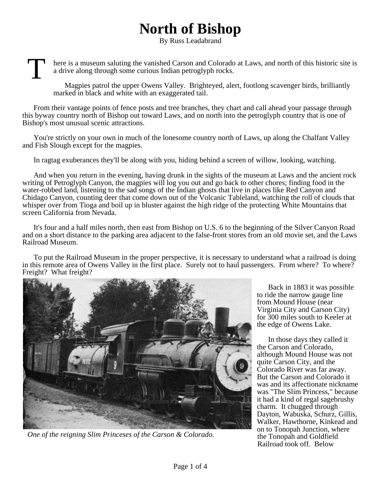## **North of Bishop**

By Russ Leadabrand

T here is a museum saluting the vanished Carson and Colorado at Laws, and north of this historic site is a drive along through some curious Indian petroglyph rocks.

Magpies patrol the upper Owens Valley. Brighteyed, alert, footlong scavenger birds, brilliantly marked in black and white with an exaggerated tail.

From their vantage points of fence posts and tree branches, they chart and call ahead your passage through this byway country north of Bishop out toward Laws, and on north into the petroglyph country that is one of Bishop's most unusual scenic attractions.

You're strictly on your own in much of the lonesome country north of Laws, up along the Chalfant Valley and Fish Slough except for the magpies.

In ragtag exuberances they'll be along with you, hiding behind a screen of willow, looking, watching.

And when you return in the evening, having drunk in the sights of the museum at Laws and the ancient rock writing of Petroglyph Canyon, the magpies will log you out and go back to other chores; finding food in the water-robbed land, listening to the sad songs of the Indian ghosts that live in places like Red Canyon and Chidago Canyon, counting deer that come down out of the Volcanic Tableland, watching the roll of clouds that whisper over from Tioga and boil up in bluster against the high ridge of the protecting White Mountains that screen California from Nevada.

It's four and a half miles north, then east from Bishop on U.S. 6 to the beginning of the Silver Canyon Road and on a short distance to the parking area adjacent to the false-front stores from an old movie set, and the Laws Railroad Museum.

To put the Railroad Museum in the proper perspective, it is necessary to understand what a railroad is doing in this remote area of Owens Valley in the first place. Surely not to haul passengers. From where? To where? Freight? What freight?



*One of the reigning Slim Princeses of the Carson & Colorado.*

Back in 1883 it was possible to ride the narrow gauge line from Mound House (near Virginia City and Carson City) for 300 miles south to Keeler at the edge of Owens Lake.

In those days they called it the Carson and Colorado, although Mound House was not quite Carson City, and the Colorado River was far away. But the Carson and Colorado it was and its affectionate nickname was "The Slim Princess," because it had a kind of regal sagebrushy charm. It chugged through Dayton, Wabuska, Schurz, Gillis, Walker, Hawthorne, Kinkead and on to Tonopah Junction, where the Tonopah and Goldfield Railroad took off. Below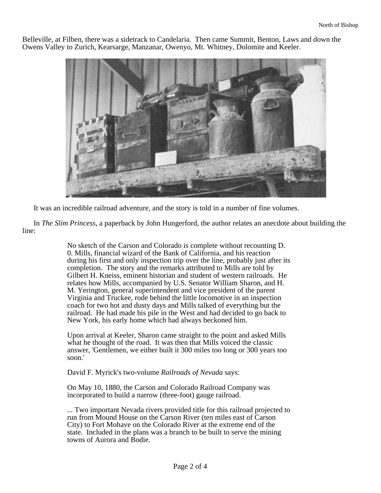Belleville, at Filben, there was a sidetrack to Candelaria. Then came Summit, Benton, Laws and down the Owens Valley to Zurich, Kearsarge, Manzanar, Owenyo, Mt. Whitney, Dolomite and Keeler.



It was an incredible railroad adventure, and the story is told in a number of fine volumes.

In *The Slim Princess*, a paperback by John Hungerford, the author relates an anecdote about building the line:

> No sketch of the Carson and Colorado is complete without recounting D. 0. Mills, financial wizard of the Bank of California, and his reaction during his first and only inspection trip over the line, probably just after its completion. The story and the remarks attributed to Mills are told by Gilbert H. Kneiss, eminent historian and student of western railroads. He relates how Mills, accompanied by U.S. Senator William Sharon, and H. M. Yerington, general superintendent and vice president of the parent Virginia and Truckee, rode behind the little locomotive in an inspection coach for two hot and dusty days and Mills talked of everything but the railroad. He had made his pile in the West and had decided to go back to New York, his early home which had always beckoned him.

> Upon arrival at Keeler, Sharon came straight to the point and asked Mills what he thought of the road. It was then that Mills voiced the classic answer, 'Gentlemen, we either built it 300 miles too long or 300 years too soon.'

## David F. Myrick's two-volume *Railroads of Nevada* says:

On May 10, 1880, the Carson and Colorado Railroad Company was incorporated to build a narrow (three-foot) gauge railroad.

... Two important Nevada rivers provided title for this railroad projected to run from Mound House on the Carson River (ten miles east of Carson City) to Fort Mohave on the Colorado River at the extreme end of the state. Included in the plans was a branch to be built to serve the mining towns of Aurora and Bodie.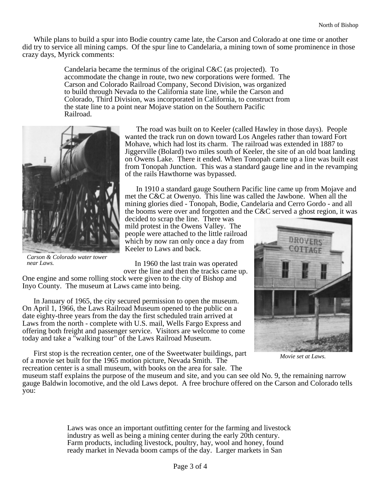While plans to build a spur into Bodie country came late, the Carson and Colorado at one time or another did try to service all mining camps. Of the spur line to Candelaria, a mining town of some prominence in those crazy days, Myrick comments:

> Candelaria became the terminus of the original C&C (as projected). To accommodate the change in route, two new corporations were formed. The Carson and Colorado Railroad Company, Second Division, was organized to build through Nevada to the California state line, while the Carson and Colorado, Third Division, was incorporated in California, to construct from the state line to a point near Mojave station on the Southern Pacific Railroad.



*Carson & Colorado water tower near Laws.*

The road was built on to Keeler (called Hawley in those days). People wanted the track run on down toward Los Angeles rather than toward Fort Mohave, which had lost its charm. The railroad was extended in 1887 to Jiggerville (Bolard) two miles south of Keeler, the site of an old boat landing on Owens Lake. There it ended. When Tonopah came up a line was built east from Tonopah Junction. This was a standard gauge line and in the revamping of the rails Hawthorne was bypassed.

In 1910 a standard gauge Southern Pacific line came up from Mojave and met the C&C at Owenyo. This line was called the Jawbone. When all the mining glories died - Tonopah, Bodie, Candelaria and Cerro Gordo - and all the booms were over and forgotten and the C&C served a ghost region, it was

decided to scrap the line. There was mild protest in the Owens Valley. The people were attached to the little railroad which by now ran only once a day from Keeler to Laws and back.

In 1960 the last train was operated over the line and then the tracks came up.

One engine and some rolling stock were given to the city of Bishop and Inyo County. The museum at Laws came into being.

In January of 1965, the city secured permission to open the museum. On April 1, 1966, the Laws Railroad Museum opened to the public on a date eighty-three years from the day the first scheduled train arrived at Laws from the north - complete with U.S. mail, Wells Fargo Express and offering both freight and passenger service. Visitors are welcome to come today and take a "walking tour" of the Laws Railroad Museum.

First stop is the recreation center, one of the Sweetwater buildings, part of a movie set built for the 1965 motion picture, Nevada Smith. The recreation center is a small museum, with books on the area for sale. The



*Movie set at Laws.*

museum staff explains the purpose of the museum and site, and you can see old No. 9, the remaining narrow gauge Baldwin locomotive, and the old Laws depot. A free brochure offered on the Carson and Colorado tells you:

> Laws was once an important outfitting center for the farming and livestock industry as well as being a mining center during the early 20th century. Farm products, including livestock, poultry, hay, wool and honey, found ready market in Nevada boom camps of the day. Larger markets in San